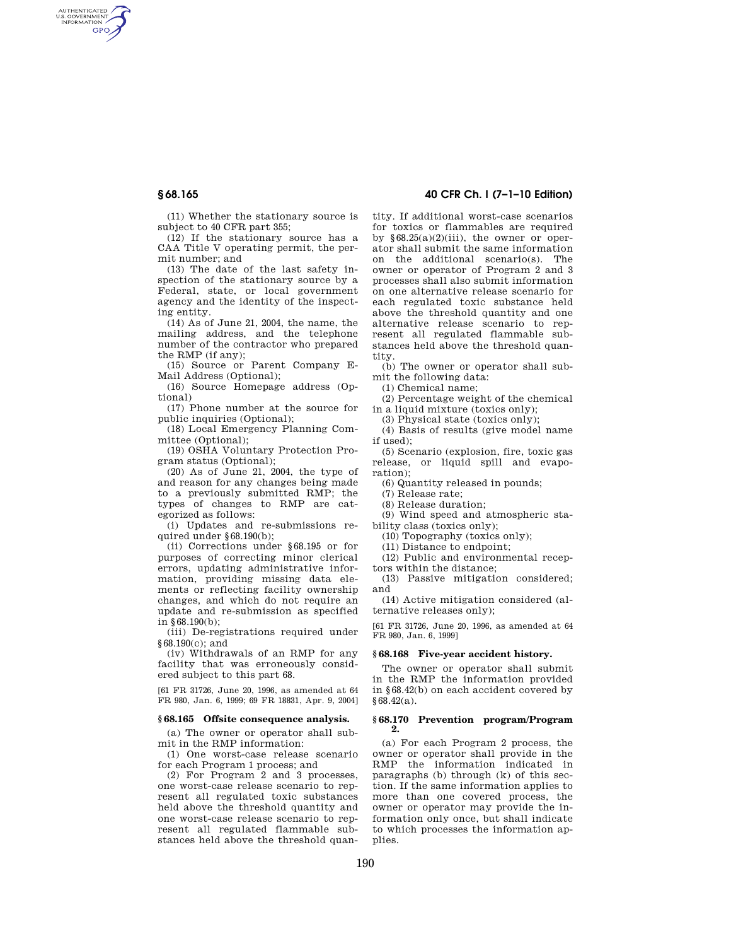AUTHENTICATED<br>U.S. GOVERNMENT<br>INFORMATION **GPO** 

> (11) Whether the stationary source is subject to 40 CFR part 355;

> (12) If the stationary source has a CAA Title V operating permit, the permit number; and

> (13) The date of the last safety inspection of the stationary source by a Federal, state, or local government agency and the identity of the inspecting entity.

> (14) As of June 21, 2004, the name, the mailing address, and the telephone number of the contractor who prepared the RMP (if any);

(15) Source or Parent Company E-Mail Address (Optional);

(16) Source Homepage address (Optional)

(17) Phone number at the source for public inquiries (Optional);

(18) Local Emergency Planning Committee (Optional);

(19) OSHA Voluntary Protection Program status (Optional);

(20) As of June 21, 2004, the type of and reason for any changes being made to a previously submitted RMP; the types of changes to RMP are categorized as follows:

(i) Updates and re-submissions required under §68.190(b);

(ii) Corrections under §68.195 or for purposes of correcting minor clerical errors, updating administrative information, providing missing data elements or reflecting facility ownership changes, and which do not require an update and re-submission as specified in §68.190(b);

(iii) De-registrations required under §68.190(c); and

(iv) Withdrawals of an RMP for any facility that was erroneously considered subject to this part 68.

[61 FR 31726, June 20, 1996, as amended at 64 FR 980, Jan. 6, 1999; 69 FR 18831, Apr. 9, 2004]

#### **§ 68.165 Offsite consequence analysis.**

(a) The owner or operator shall submit in the RMP information:

(1) One worst-case release scenario for each Program 1 process; and

(2) For Program 2 and 3 processes, one worst-case release scenario to represent all regulated toxic substances held above the threshold quantity and one worst-case release scenario to represent all regulated flammable substances held above the threshold quan-

**§ 68.165 40 CFR Ch. I (7–1–10 Edition)** 

tity. If additional worst-case scenarios for toxics or flammables are required by  $§68.25(a)(2)(iii)$ , the owner or operator shall submit the same information on the additional scenario(s). The owner or operator of Program 2 and 3 processes shall also submit information on one alternative release scenario for each regulated toxic substance held above the threshold quantity and one alternative release scenario to represent all regulated flammable substances held above the threshold quantity.

(b) The owner or operator shall submit the following data:

(1) Chemical name;

(2) Percentage weight of the chemical in a liquid mixture (toxics only);

(3) Physical state (toxics only);

(4) Basis of results (give model name if used);

(5) Scenario (explosion, fire, toxic gas release, or liquid spill and evaporation);

(6) Quantity released in pounds;

(7) Release rate;

(8) Release duration;

(9) Wind speed and atmospheric stability class (toxics only);

(10) Topography (toxics only);

(11) Distance to endpoint;

(12) Public and environmental receptors within the distance;

(13) Passive mitigation considered; and

(14) Active mitigation considered (alternative releases only);

[61 FR 31726, June 20, 1996, as amended at 64 FR 980, Jan. 6, 1999]

# **§ 68.168 Five-year accident history.**

The owner or operator shall submit in the RMP the information provided in §68.42(b) on each accident covered by §68.42(a).

### **§ 68.170 Prevention program/Program 2.**

(a) For each Program 2 process, the owner or operator shall provide in the RMP the information indicated in paragraphs (b) through (k) of this section. If the same information applies to more than one covered process, the owner or operator may provide the information only once, but shall indicate to which processes the information applies.